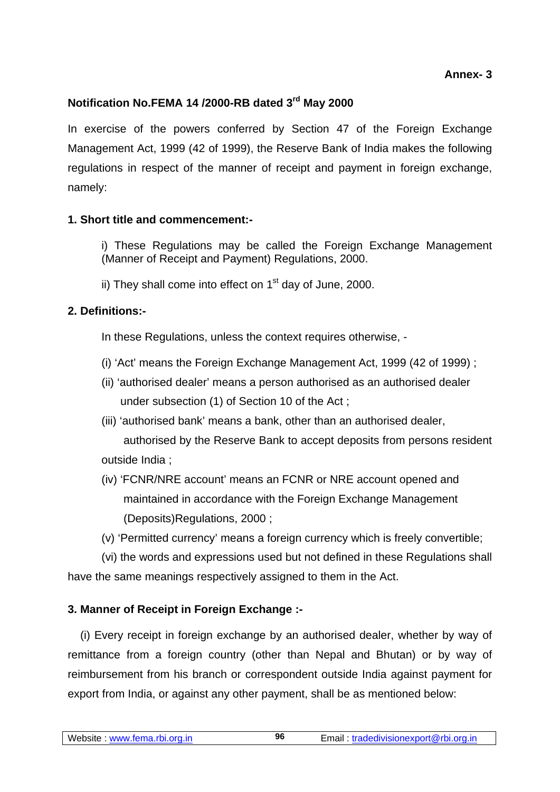# **Notification No.FEMA 14 /2000-RB dated 3rd May 2000**

In exercise of the powers conferred by Section 47 of the Foreign Exchange Management Act, 1999 (42 of 1999), the Reserve Bank of India makes the following regulations in respect of the manner of receipt and payment in foreign exchange, namely:

## **1. Short title and commencement:-**

i) These Regulations may be called the Foreign Exchange Management (Manner of Receipt and Payment) Regulations, 2000.

ii) They shall come into effect on  $1<sup>st</sup>$  day of June, 2000.

# **2. Definitions:-**

In these Regulations, unless the context requires otherwise, -

- (i) 'Act' means the Foreign Exchange Management Act, 1999 (42 of 1999) ;
- (ii) 'authorised dealer' means a person authorised as an authorised dealer under subsection (1) of Section 10 of the Act ;
- (iii) 'authorised bank' means a bank, other than an authorised dealer, authorised by the Reserve Bank to accept deposits from persons resident outside India ;
- (iv) 'FCNR/NRE account' means an FCNR or NRE account opened and maintained in accordance with the Foreign Exchange Management (Deposits)Regulations, 2000 ;
- (v) 'Permitted currency' means a foreign currency which is freely convertible;

(vi) the words and expressions used but not defined in these Regulations shall have the same meanings respectively assigned to them in the Act.

# **3. Manner of Receipt in Foreign Exchange :-**

 (i) Every receipt in foreign exchange by an authorised dealer, whether by way of remittance from a foreign country (other than Nepal and Bhutan) or by way of reimbursement from his branch or correspondent outside India against payment for export from India, or against any other payment, shall be as mentioned below: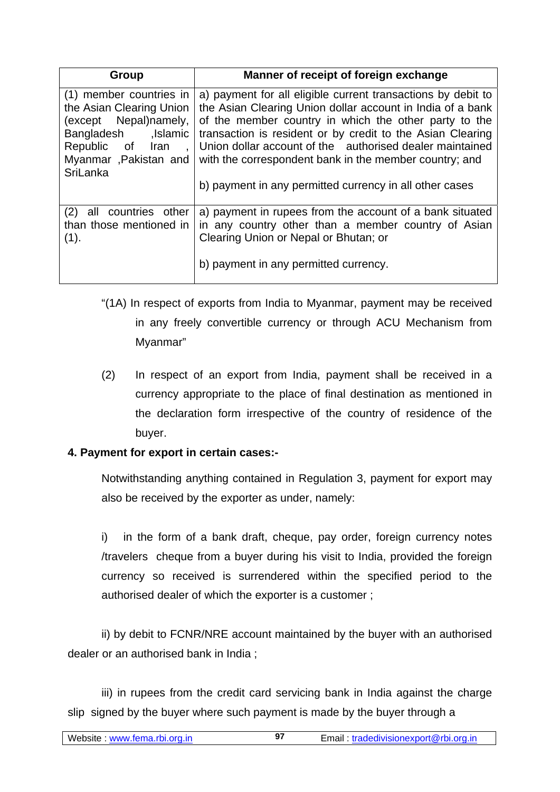| Group                                                                                                                                                          | Manner of receipt of foreign exchange                                                                                                                                                                                                                                                                                                                                                                                              |
|----------------------------------------------------------------------------------------------------------------------------------------------------------------|------------------------------------------------------------------------------------------------------------------------------------------------------------------------------------------------------------------------------------------------------------------------------------------------------------------------------------------------------------------------------------------------------------------------------------|
| (1) member countries in<br>the Asian Clearing Union<br>(except Nepal)namely,<br>lslamic,<br>Bangladesh<br>Republic of Iran<br>Myanmar Pakistan and<br>SriLanka | a) payment for all eligible current transactions by debit to<br>the Asian Clearing Union dollar account in India of a bank<br>of the member country in which the other party to the<br>transaction is resident or by credit to the Asian Clearing<br>Union dollar account of the authorised dealer maintained<br>with the correspondent bank in the member country; and<br>b) payment in any permitted currency in all other cases |
| (2)<br>all countries other<br>than those mentioned in<br>(1).                                                                                                  | a) payment in rupees from the account of a bank situated<br>in any country other than a member country of Asian<br>Clearing Union or Nepal or Bhutan; or<br>b) payment in any permitted currency.                                                                                                                                                                                                                                  |

- "(1A) In respect of exports from India to Myanmar, payment may be received in any freely convertible currency or through ACU Mechanism from Myanmar"
- (2) In respect of an export from India, payment shall be received in a currency appropriate to the place of final destination as mentioned in the declaration form irrespective of the country of residence of the buyer.

## **4. Payment for export in certain cases:-**

Notwithstanding anything contained in Regulation 3, payment for export may also be received by the exporter as under, namely:

i) in the form of a bank draft, cheque, pay order, foreign currency notes /travelers cheque from a buyer during his visit to India, provided the foreign currency so received is surrendered within the specified period to the authorised dealer of which the exporter is a customer ;

ii) by debit to FCNR/NRE account maintained by the buyer with an authorised dealer or an authorised bank in India ;

iii) in rupees from the credit card servicing bank in India against the charge slip signed by the buyer where such payment is made by the buyer through a

**97**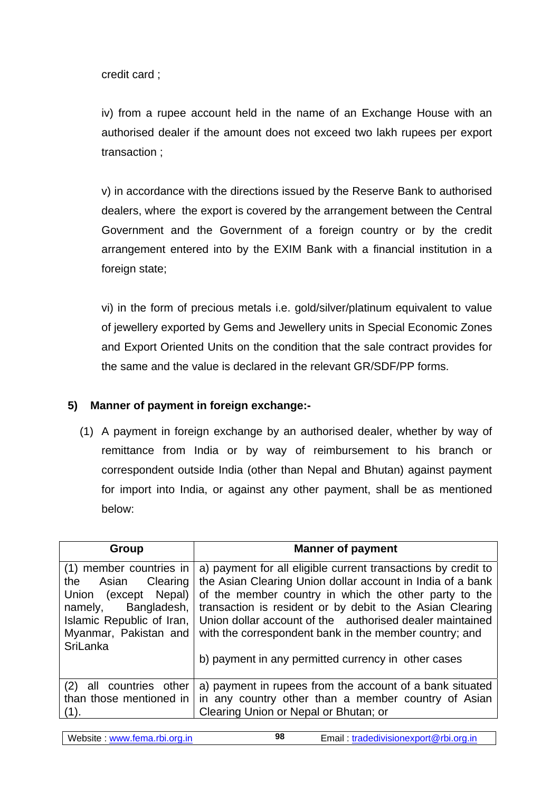credit card ;

iv) from a rupee account held in the name of an Exchange House with an authorised dealer if the amount does not exceed two lakh rupees per export transaction ;

v) in accordance with the directions issued by the Reserve Bank to authorised dealers, where the export is covered by the arrangement between the Central Government and the Government of a foreign country or by the credit arrangement entered into by the EXIM Bank with a financial institution in a foreign state;

vi) in the form of precious metals i.e. gold/silver/platinum equivalent to value of jewellery exported by Gems and Jewellery units in Special Economic Zones and Export Oriented Units on the condition that the sale contract provides for the same and the value is declared in the relevant GR/SDF/PP forms.

#### **5) Manner of payment in foreign exchange:-**

(1) A payment in foreign exchange by an authorised dealer, whether by way of remittance from India or by way of reimbursement to his branch or correspondent outside India (other than Nepal and Bhutan) against payment for import into India, or against any other payment, shall be as mentioned below:

| Group                                                                                                                                                                    | <b>Manner of payment</b>                                                                                                                                                                                                                                                                                                                                                |
|--------------------------------------------------------------------------------------------------------------------------------------------------------------------------|-------------------------------------------------------------------------------------------------------------------------------------------------------------------------------------------------------------------------------------------------------------------------------------------------------------------------------------------------------------------------|
| (1) member countries in<br>the Asian Clearing<br>Union (except Nepal)<br>Bangladesh,<br>namely,<br>Islamic Republic of Iran,<br>Myanmar, Pakistan and<br><b>SriLanka</b> | a) payment for all eligible current transactions by credit to<br>the Asian Clearing Union dollar account in India of a bank<br>of the member country in which the other party to the<br>transaction is resident or by debit to the Asian Clearing<br>Union dollar account of the authorised dealer maintained<br>with the correspondent bank in the member country; and |
|                                                                                                                                                                          | b) payment in any permitted currency in other cases                                                                                                                                                                                                                                                                                                                     |
| countries other<br>(2)<br>all<br>than those mentioned in<br>(1).                                                                                                         | a) payment in rupees from the account of a bank situated<br>in any country other than a member country of Asian<br>Clearing Union or Nepal or Bhutan; or                                                                                                                                                                                                                |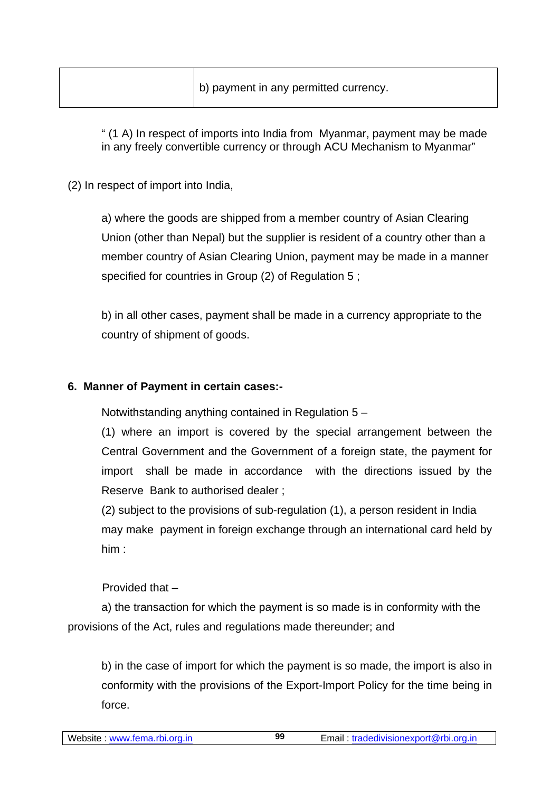" (1 A) In respect of imports into India from Myanmar, payment may be made in any freely convertible currency or through ACU Mechanism to Myanmar"

(2) In respect of import into India,

a) where the goods are shipped from a member country of Asian Clearing Union (other than Nepal) but the supplier is resident of a country other than a member country of Asian Clearing Union, payment may be made in a manner specified for countries in Group (2) of Regulation 5 ;

b) in all other cases, payment shall be made in a currency appropriate to the country of shipment of goods.

### **6. Manner of Payment in certain cases:-**

Notwithstanding anything contained in Regulation 5 –

(1) where an import is covered by the special arrangement between the Central Government and the Government of a foreign state, the payment for import shall be made in accordance with the directions issued by the Reserve Bank to authorised dealer ;

(2) subject to the provisions of sub-regulation (1), a person resident in India may make payment in foreign exchange through an international card held by him :

Provided that –

a) the transaction for which the payment is so made is in conformity with the provisions of the Act, rules and regulations made thereunder; and

b) in the case of import for which the payment is so made, the import is also in conformity with the provisions of the Export-Import Policy for the time being in force.